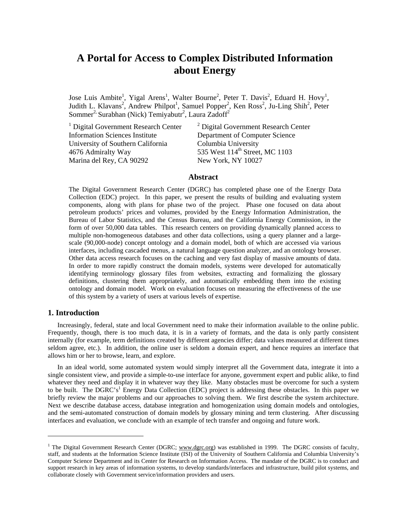# **A Portal for Access to Complex Distributed Information about Energy**

Jose Luis Ambite<sup>1</sup>, Yigal Arens<sup>1</sup>, Walter Bourne<sup>2</sup>, Peter T. Davis<sup>2</sup>, Eduard H. Hovy<sup>1</sup>, Judith L. Klavans<sup>2</sup>, Andrew Philpot<sup>1</sup>, Samuel Popper<sup>2</sup>, Ken Ross<sup>2</sup>, Ju-Ling Shih<sup>2</sup>, Peter Sommer<sup>2,</sup> Surabhan (Nick) Temiyabutr<sup>2</sup>, Laura Zadoff<sup>2</sup>

<sup>1</sup> Digital Government Research Center  $\frac{2 \text{ Digital Government Research Center}}{}$ Information Sciences Institute Department of Computer Science<br>University of Southern California Columbia University University of Southern California 4676 Admiralty Way 535 West 114<sup>th</sup> Street, MC 1103 Marina del Rey, CA 90292 New York, NY 10027

## **Abstract**

The Digital Government Research Center (DGRC) has completed phase one of the Energy Data Collection (EDC) project. In this paper, we present the results of building and evaluating system components, along with plans for phase two of the project. Phase one focused on data about petroleum products' prices and volumes, provided by the Energy Information Administration, the Bureau of Labor Statistics, and the Census Bureau, and the California Energy Commission, in the form of over 50,000 data tables. This research centers on providing dynamically planned access to multiple non-homogeneous databases and other data collections, using a query planner and a largescale (90,000-node) concept ontology and a domain model, both of which are accessed via various interfaces, including cascaded menus, a natural language question analyzer, and an ontology browser. Other data access research focuses on the caching and very fast display of massive amounts of data. In order to more rapidly construct the domain models, systems were developed for automatically identifying terminology glossary files from websites, extracting and formalizing the glossary definitions, clustering them appropriately, and automatically embedding them into the existing ontology and domain model. Work on evaluation focuses on measuring the effectiveness of the use of this system by a variety of users at various levels of expertise.

# **1. Introduction**

 $\overline{a}$ 

Increasingly, federal, state and local Government need to make their information available to the online public. Frequently, though, there is too much data, it is in a variety of formats, and the data is only partly consistent internally (for example, term definitions created by different agencies differ; data values measured at different times seldom agree, etc.). In addition, the online user is seldom a domain expert, and hence requires an interface that allows him or her to browse, learn, and explore.

In an ideal world, some automated system would simply interpret all the Government data, integrate it into a single consistent view, and provide a simple-to-use interface for anyone, government expert and public alike, to find whatever they need and display it in whatever way they like. Many obstacles must be overcome for such a system to be built. The DGRC's<sup>1</sup> Energy Data Collection (EDC) project is addressing these obstacles. In this paper we briefly review the major problems and our approaches to solving them. We first describe the system architecture. Next we describe database access, database integration and homogenization using domain models and ontologies, and the semi-automated construction of domain models by glossary mining and term clustering. After discussing interfaces and evaluation, we conclude with an example of tech transfer and ongoing and future work.

<span id="page-0-0"></span><sup>&</sup>lt;sup>1</sup> The Digital Government Research Center (DGRC; www.dgrc.org) was established in 1999. The DGRC consists of faculty, staff, and students at the Information Science Institute (ISI) of the University of Southern California and Columbia University's Computer Science Department and its Center for Research on Information Access. The mandate of the DGRC is to conduct and support research in key areas of information systems, to develop standards/interfaces and infrastructure, build pilot systems, and collaborate closely with Government service/information providers and users.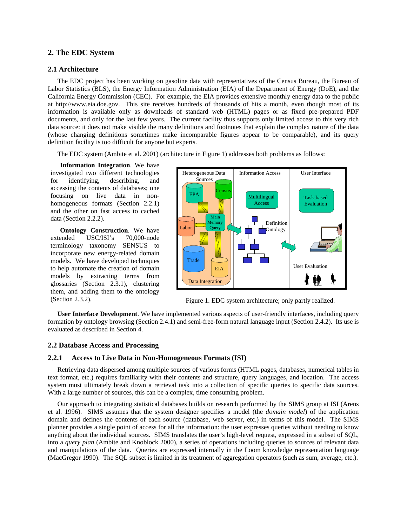# **2. The EDC System**

## **2.1 Architecture**

The EDC project has been working on gasoline data with representatives of the Census Bureau, the Bureau of Labor Statistics (BLS), the Energy Information Administration (EIA) of the Department of Energy (DoE), and the California Energy Commission (CEC). For example, the EIA provides extensive monthly energy data to the public at http://www.eia.doe.gov. This site receives hundreds of thousands of hits a month, even though most of its information is available only as downloads of standard web (HTML) pages or as fixed pre-prepared PDF documents, and only for the last few years. The current facility thus supports only limited access to this very rich data source: it does not make visible the many definitions and footnotes that explain the complex nature of the data (whose changing definitions sometimes make incomparable figures appear to be comparable), and its query definition facility is too difficult for anyone but experts.

The EDC system (Ambite et al. 2001) (architecture in Figure 1) addresses both problems as follows:

**Information Integration**. We have investigated two different technologies for identifying, describing, and accessing the contents of databases; one focusing on live data in nonhomogeneous formats (Section 2.2.1) and the other on fast access to cached data (Section 2.2.2).

**Ontology Construction**. We have extended USC/ISI's 70,000-node terminology taxonomy SENSUS to incorporate new energy-related domain models. We have developed techniques to help automate the creation of domain models by extracting terms from glossaries (Section 2.3.1), clustering them, and adding them to the ontology (Section 2.3.2).



Figure 1. EDC system architecture; only partly realized.

**User Interface Development**. We have implemented various aspects of user-friendly interfaces, including query formation by ontology browsing (Section 2.4.1) and semi-free-form natural language input (Section 2.4.2). Its use is evaluated as described in Section 4.

#### **2.2 Database Access and Processing**

#### **2.2.1 Access to Live Data in Non-Homogeneous Formats (ISI)**

Retrieving data dispersed among multiple sources of various forms (HTML pages, databases, numerical tables in text format, etc.) requires familiarity with their contents and structure, query languages, and location. The access system must ultimately break down a retrieval task into a collection of specific queries to specific data sources. With a large number of sources, this can be a complex, time consuming problem.

Our approach to integrating statistical databases builds on research performed by the SIMS group at ISI (Arens et al. 1996). SIMS assumes that the system designer specifies a model (the *domain model*) of the application domain and defines the contents of each source (database, web server, etc.) in terms of this model. The SIMS planner provides a single point of access for all the information: the user expresses queries without needing to know anything about the individual sources. SIMS translates the user's high-level request, expressed in a subset of SQL, into a *query plan* (Ambite and Knoblock 2000), a series of operations including queries to sources of relevant data and manipulations of the data. Queries are expressed internally in the Loom knowledge representation language (MacGregor 1990). The SQL subset is limited in its treatment of aggregation operators (such as sum, average, etc.).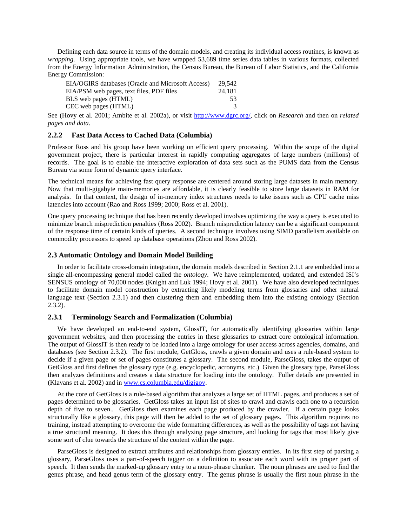Defining each data source in terms of the domain models, and creating its individual access routines, is known as *wrapping*. Using appropriate tools, we have wrapped 53,689 time series data tables in various formats, collected from the Energy Information Administration, the Census Bureau, the Bureau of Labor Statistics, and the California Energy Commission:

| EIA/OGIRS databases (Oracle and Microsoft Access) | 29.542 |
|---------------------------------------------------|--------|
| EIA/PSM web pages, text files, PDF files          | 24.181 |
| BLS web pages (HTML)                              | 53.    |
| CEC web pages (HTML)                              | 3      |

See (Hovy et al. 2001; Ambite et al. 2002a), or visit [http://www.dgrc.org/,](http://www.dgrc.org/) click on *Research* and then on *related pages and data*.

## **2.2.2 Fast Data Access to Cached Data (Columbia)**

Professor Ross and his group have been working on efficient query processing. Within the scope of the digital government project, there is particular interest in rapidly computing aggregates of large numbers (millions) of records. The goal is to enable the interactive exploration of data sets such as the PUMS data from the Census Bureau via some form of dynamic query interface.

The technical means for achieving fast query response are centered around storing large datasets in main memory. Now that multi-gigabyte main-memories are affordable, it is clearly feasible to store large datasets in RAM for analysis. In that context, the design of in-memory index structures needs to take issues such as CPU cache miss latencies into account (Rao and Ross 1999; 2000; Ross et al. 2001).

One query processing technique that has been recently developed involves optimizing the way a query is executed to minimize branch misprediction penalties (Ross 2002). Branch misprediction latency can be a significant component of the response time of certain kinds of queries. A second technique involves using SIMD parallelism available on commodity processors to speed up database operations (Zhou and Ross 2002).

#### **2.3 Automatic Ontology and Domain Model Building**

In order to facilitate cross-domain integration, the domain models described in Section 2.1.1 are embedded into a single all-encompassing general model called the *ontology*. We have reimplemented, updated, and extended ISI's SENSUS ontology of 70,000 nodes (Knight and Luk 1994; Hovy et al. 2001). We have also developed techniques to facilitate domain model construction by extracting likely modeling terms from glossaries and other natural language text (Section 2.3.1) and then clustering them and embedding them into the existing ontology (Section  $2.3.2$ ).

#### **2.3.1 Terminology Search and Formalization (Columbia)**

We have developed an end-to-end system, GlossIT, for automatically identifying glossaries within large government websites, and then processing the entries in these glossaries to extract core ontological information. The output of GlossIT is then ready to be loaded into a large ontology for user access across agencies, domains, and databases (see Section 2.3.2). The first module, GetGloss, crawls a given domain and uses a rule-based system to decide if a given page or set of pages constitutes a glossary. The second module, ParseGloss, takes the output of GetGloss and first defines the glossary type (e.g. encyclopedic, acronyms, etc.) Given the glossary type, ParseGloss then analyzes definitions and creates a data structure for loading into the ontology. Fuller details are presented in (Klavans et al. 2002) and in [www.cs.columbia.edu/digigov](http://www.cs.columbia.edu/digigov).

At the core of GetGloss is a rule-based algorithm that analyzes a large set of HTML pages, and produces a set of pages determined to be glossaries. GetGloss takes an input list of sites to crawl and crawls each one to a recursion depth of five to seven.. GetGloss then examines each page produced by the crawler. If a certain page looks structurally like a glossary, this page will then be added to the set of glossary pages. This algorithm requires no training, instead attempting to overcome the wide formatting differences, as well as the possibility of tags not having a true structural meaning. It does this through analyzing page structure, and looking for tags that most likely give some sort of clue towards the structure of the content within the page.

ParseGloss is designed to extract attributes and relationships from glossary entries. In its first step of parsing a glossary, ParseGloss uses a part-of-speech tagger on a definition to associate each word with its proper part of speech. It then sends the marked-up glossary entry to a noun-phrase chunker. The noun phrases are used to find the genus phrase, and head genus term of the glossary entry. The genus phrase is usually the first noun phrase in the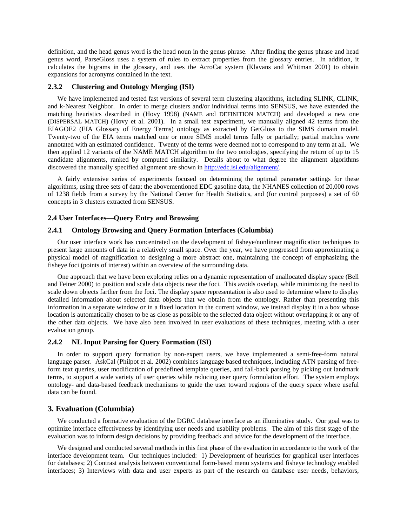definition, and the head genus word is the head noun in the genus phrase. After finding the genus phrase and head genus word, ParseGloss uses a system of rules to extract properties from the glossary entries. In addition, it calculates the bigrams in the glossary, and uses the AcroCat system (Klavans and Whitman 2001) to obtain expansions for acronyms contained in the text.

## **2.3.2 Clustering and Ontology Merging (ISI)**

We have implemented and tested fast versions of several term clustering algorithms, including SLINK, CLINK, and k-Nearest Neighbor. In order to merge clusters and/or individual terms into SENSUS, we have extended the matching heuristics described in (Hovy 1998) (NAME and DEFINITION MATCH) and developed a new one (DISPERSAL MATCH) (Hovy et al. 2001). In a small test experiment, we manually aligned 42 terms from the EIAGOE2 (EIA Glossary of Energy Terms) ontology as extracted by GetGloss to the SIMS domain model. Twenty-two of the EIA terms matched one or more SIMS model terms fully or partially; partial matches were annotated with an estimated confidence. Twenty of the terms were deemed not to correspond to any term at all. We then applied 12 variants of the NAME MATCH algorithm to the two ontologies, specifying the return of up to 15 candidate alignments, ranked by computed similarity. Details about to what degree the alignment algorithms discovered the manually specified alignment are shown in [http://edc.isi.edu/alignment/.](http://edc.isi.edu/alignment/)

A fairly extensive series of experiments focused on determining the optimal parameter settings for these algorithms, using three sets of data: the abovementioned EDC gasoline data, the NHANES collection of 20,000 rows of 1238 fields from a survey by the National Center for Health Statistics, and (for control purposes) a set of 60 concepts in 3 clusters extracted from SENSUS.

## **2.4 User Interfaces—Query Entry and Browsing**

# **2.4.1 Ontology Browsing and Query Formation Interfaces (Columbia)**

Our user interface work has concentrated on the development of fisheye/nonlinear magnification techniques to present large amounts of data in a relatively small space. Over the year, we have progressed from approximating a physical model of magnification to designing a more abstract one, maintaining the concept of emphasizing the fisheye foci (points of interest) within an overview of the surrounding data.

One approach that we have been exploring relies on a dynamic representation of unallocated display space (Bell and Feiner 2000) to position and scale data objects near the foci. This avoids overlap, while minimizing the need to scale down objects farther from the foci. The display space representation is also used to determine where to display detailed information about selected data objects that we obtain from the ontology. Rather than presenting this information in a separate window or in a fixed location in the current window, we instead display it in a box whose location is automatically chosen to be as close as possible to the selected data object without overlapping it or any of the other data objects. We have also been involved in user evaluations of these techniques, meeting with a user evaluation group.

#### **2.4.2 NL Input Parsing for Query Formation (ISI)**

In order to support query formation by non-expert users, we have implemented a semi-free-form natural language parser. AskCal (Philpot et al. 2002) combines language based techniques, including ATN parsing of freeform text queries, user modification of predefined template queries, and fall-back parsing by picking out landmark terms, to support a wide variety of user queries while reducing user query formulation effort. The system employs ontology- and data-based feedback mechanisms to guide the user toward regions of the query space where useful data can be found.

# **3. Evaluation (Columbia)**

We conducted a formative evaluation of the DGRC database interface as an illuminative study. Our goal was to optimize interface effectiveness by identifying user needs and usability problems. The aim of this first stage of the evaluation was to inform design decisions by providing feedback and advice for the development of the interface.

We designed and conducted several methods in this first phase of the evaluation in accordance to the work of the interface development team. Our techniques included: 1) Development of heuristics for graphical user interfaces for databases; 2) Contrast analysis between conventional form-based menu systems and fisheye technology enabled interfaces; 3) Interviews with data and user experts as part of the research on database user needs, behaviors,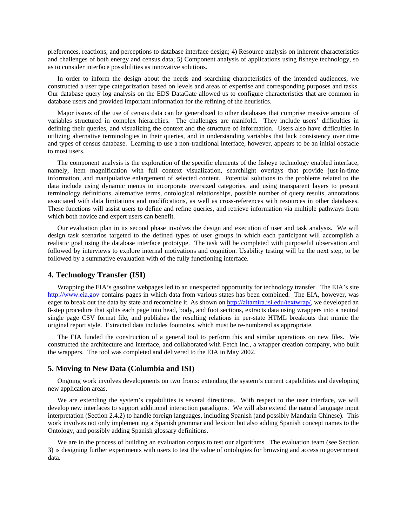preferences, reactions, and perceptions to database interface design; 4) Resource analysis on inherent characteristics and challenges of both energy and census data; 5) Component analysis of applications using fisheye technology, so as to consider interface possibilities as innovative solutions.

In order to inform the design about the needs and searching characteristics of the intended audiences, we constructed a user type categorization based on levels and areas of expertise and corresponding purposes and tasks. Our database query log analysis on the EDS DataGate allowed us to configure characteristics that are common in database users and provided important information for the refining of the heuristics.

Major issues of the use of census data can be generalized to other databases that comprise massive amount of variables structured in complex hierarchies. The challenges are manifold. They include users' difficulties in defining their queries, and visualizing the context and the structure of information. Users also have difficulties in utilizing alternative terminologies in their queries, and in understanding variables that lack consistency over time and types of census database. Learning to use a non-traditional interface, however, appears to be an initial obstacle to most users.

The component analysis is the exploration of the specific elements of the fisheye technology enabled interface, namely, item magnification with full context visualization, searchlight overlays that provide just-in-time information, and manipulative enlargement of selected content. Potential solutions to the problems related to the data include using dynamic menus to incorporate oversized categories, and using transparent layers to present terminology definitions, alternative terms, ontological relationships, possible number of query results, annotations associated with data limitations and modifications, as well as cross-references with resources in other databases. These functions will assist users to define and refine queries, and retrieve information via multiple pathways from which both novice and expert users can benefit.

Our evaluation plan in its second phase involves the design and execution of user and task analysis. We will design task scenarios targeted to the defined types of user groups in which each participant will accomplish a realistic goal using the database interface prototype. The task will be completed with purposeful observation and followed by interviews to explore internal motivations and cognition. Usability testing will be the next step, to be followed by a summative evaluation with of the fully functioning interface.

## **4. Technology Transfer (ISI)**

Wrapping the EIA's gasoline webpages led to an unexpected opportunity for technology transfer. The EIA's site [http://www.eia.gov](http://www.eia.gov/) contains pages in which data from various states has been combined. The EIA, however, was eager to break out the data by state and recombine it. As shown on [http://altamira.isi.edu/textwrap/,](http://altamira.isi.edu/textwrap/) we developed an 8-step procedure that splits each page into head, body, and foot sections, extracts data using wrappers into a neutral single page CSV format file, and publishes the resulting relations in per-state HTML breakouts that mimic the original report style. Extracted data includes footnotes, which must be re-numbered as appropriate.

The EIA funded the construction of a general tool to perform this and similar operations on new files. We constructed the architecture and interface, and collaborated with Fetch Inc., a wrapper creation company, who built the wrappers. The tool was completed and delivered to the EIA in May 2002.

# **5. Moving to New Data (Columbia and ISI)**

Ongoing work involves developments on two fronts: extending the system's current capabilities and developing new application areas.

We are extending the system's capabilities is several directions. With respect to the user interface, we will develop new interfaces to support additional interaction paradigms. We will also extend the natural language input interpretation (Section 2.4.2) to handle foreign languages, including Spanish (and possibly Mandarin Chinese). This work involves not only implementing a Spanish grammar and lexicon but also adding Spanish concept names to the Ontology, and possibly adding Spanish glossary definitions.

We are in the process of building an evaluation corpus to test our algorithms. The evaluation team (see Section 3) is designing further experiments with users to test the value of ontologies for browsing and access to government data.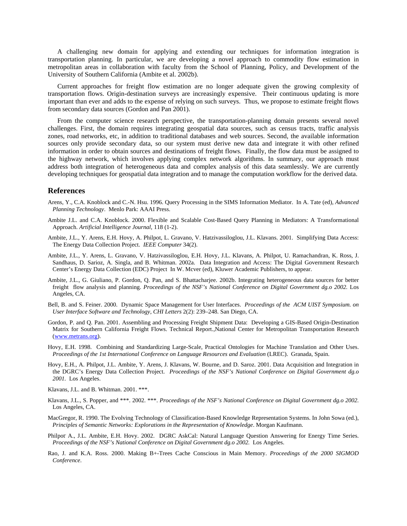A challenging new domain for applying and extending our techniques for information integration is transportation planning. In particular, we are developing a novel approach to commodity flow estimation in metropolitan areas in collaboration with faculty from the School of Planning, Policy, and Development of the University of Southern California (Ambite et al. 2002b).

Current approaches for freight flow estimation are no longer adequate given the growing complexity of transportation flows. Origin-destination surveys are increasingly expensive. Their continuous updating is more important than ever and adds to the expense of relying on such surveys. Thus, we propose to estimate freight flows from secondary data sources (Gordon and Pan 2001).

From the computer science research perspective, the transportation-planning domain presents several novel challenges. First, the domain requires integrating geospatial data sources, such as census tracts, traffic analysis zones, road networks, etc, in addition to traditional databases and web sources. Second, the available information sources only provide secondary data, so our system must derive new data and integrate it with other refined information in order to obtain sources and destinations of freight flows. Finally, the flow data must be assigned to the highway network, which involves applying complex network algorithms. In summary, our approach must address both integration of heterogeneous data and complex analysis of this data seamlessly. We are currently developing techniques for geospatial data integration and to manage the computation workflow for the derived data.

### **References**

- Arens, Y., C.A. Knoblock and C.-N. Hsu. 1996. Query Processing in the SIMS Information Mediator. In A. Tate (ed), *Advanced Planning Technology*. Menlo Park: AAAI Press.
- Ambite J.L. and C.A. Knoblock. 2000. Flexible and Scalable Cost-Based Query Planning in Mediators: A Transformational Approach. *Artificial Intelligence Journal*, 118 (1-2).
- Ambite, J.L., Y. Arens, E.H. Hovy, A. Philpot, L. Gravano, V. Hatzivassiloglou, J.L. Klavans. 2001. Simplifying Data Access: The Energy Data Collection Project. *IEEE Computer* 34(2).
- Ambite, J.L., Y. Arens, L. Gravano, V. Hatzivassiloglou, E.H. Hovy, J.L. Klavans, A. Philpot, U. Ramachandran, K. Ross, J. Sandhaus, D. Sarioz, A. Singla, and B. Whitman. 2002a. Data Integration and Access: The Digital Government Research Center's Energy Data Collection (EDC) Project In W. Mcver (ed), Kluwer Academic Publishers, to appear.
- Ambite, J.L., G. Giuliano, P. Gordon, Q. Pan, and S. Bhattacharjee. 2002b. Integrating heterogeneous data sources for better freight flow analysis and planning. *Proceedings of the NSF's National Conference on Digital Government dg.o 2002.* Los Angeles, CA.
- Bell, B. and S. Feiner. 2000. Dynamic Space Management for User Interfaces. *Proceedings of the ACM UIST Symposium. on User Interface Software and Technology, CHI Letters* 2(2): 239–248. San Diego, CA.
- Gordon, P. and Q. Pan. 2001. Assembling and Processing Freight Shipment Data: Developing a GIS-Based Origin-Destination Matrix for Southern California Freight Flows. Technical Report.,National Center for Metropolitan Transportation Research [\(www.metrans.org\)](http://www.metrans.org/).
- Hovy, E.H. 1998. Combining and Standardizing Large-Scale, Practical Ontologies for Machine Translation and Other Uses. *Proceedings of the 1st International Conference on Language Resources and Evaluation* (LREC). Granada, Spain.
- Hovy, E.H., A. Philpot, J.L. Ambite, Y. Arens, J. Klavans, W. Bourne, and D. Saroz. 2001. Data Acquisition and Integration in the DGRC's Energy Data Collection Project. *Proceedings of the NSF's National Conference on Digital Government dg.o 2001.* Los Angeles.
- Klavans, J.L. and B. Whitman. 2001. \*\*\*.
- Klavans, J.L., S. Popper, and \*\*\*. 2002. \*\*\*. *Proceedings of the NSF's National Conference on Digital Government dg.o 2002.* Los Angeles, CA.
- MacGregor, R. 1990. The Evolving Technology of Classification-Based Knowledge Representation Systems. In John Sowa (ed.), *Principles of Semantic Networks: Explorations in the Representation of Knowledge*. Morgan Kaufmann.
- Philpot A., J.L. Ambite, E.H. Hovy. 2002. DGRC AskCal: Natural Language Question Answering for Energy Time Series. *Proceedings of the NSF's National Conference on Digital Government dg.o 2002.* Los Angeles.
- Rao, J. and K.A. Ross. 2000. Making B+-Trees Cache Conscious in Main Memory. *Proceedings of the 2000 SIGMOD Conference*.